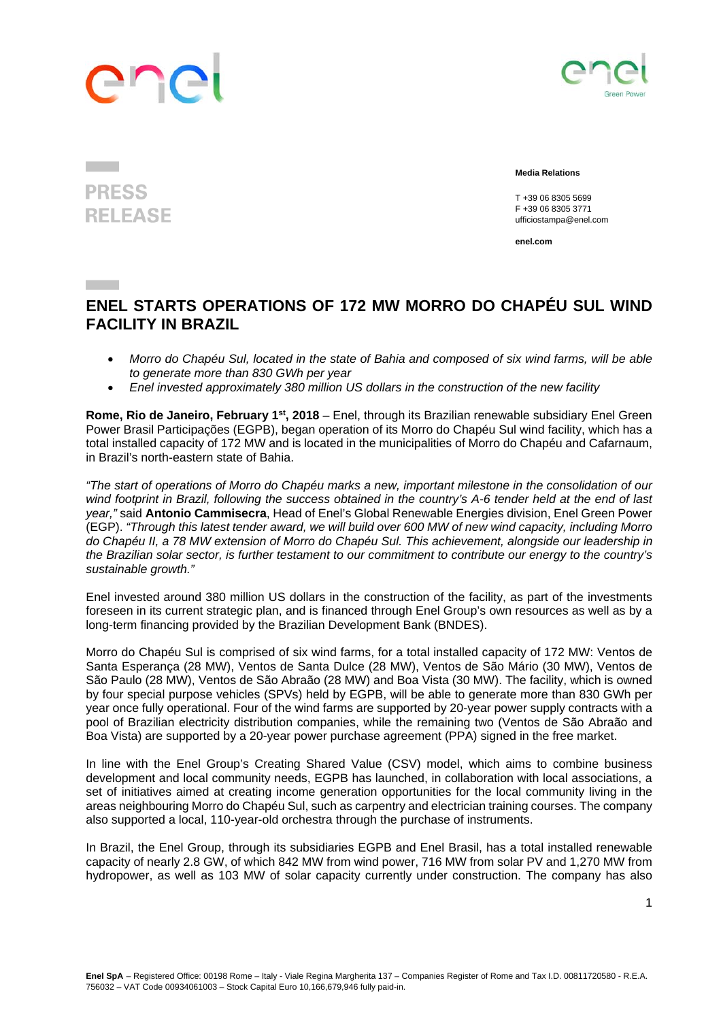## ene



## **Media Relations**

 T +39 06 8305 5699 F +39 06 8305 3771 ufficiostampa@enel.com

**enel.com**

## **ENEL STARTS OPERATIONS OF 172 MW MORRO DO CHAPÉU SUL WIND FACILITY IN BRAZIL**

- *Morro do Chapéu Sul, located in the state of Bahia and composed of six wind farms, will be able to generate more than 830 GWh per year*
- *Enel invested approximately 380 million US dollars in the construction of the new facility*

**Rome, Rio de Janeiro, February 1st, 2018** – Enel, through its Brazilian renewable subsidiary Enel Green Power Brasil Participações (EGPB), began operation of its Morro do Chapéu Sul wind facility, which has a total installed capacity of 172 MW and is located in the municipalities of Morro do Chapéu and Cafarnaum, in Brazil's north-eastern state of Bahia.

*"The start of operations of Morro do Chapéu marks a new, important milestone in the consolidation of our wind footprint in Brazil, following the success obtained in the country's A-6 tender held at the end of last year,"* said **Antonio Cammisecra**, Head of Enel's Global Renewable Energies division, Enel Green Power (EGP). *"Through this latest tender award, we will build over 600 MW of new wind capacity, including Morro do Chapéu II, a 78 MW extension of Morro do Chapéu Sul. This achievement, alongside our leadership in the Brazilian solar sector, is further testament to our commitment to contribute our energy to the country's sustainable growth."*

Enel invested around 380 million US dollars in the construction of the facility, as part of the investments foreseen in its current strategic plan, and is financed through Enel Group's own resources as well as by a long-term financing provided by the Brazilian Development Bank (BNDES).

Morro do Chapéu Sul is comprised of six wind farms, for a total installed capacity of 172 MW: Ventos de Santa Esperança (28 MW), Ventos de Santa Dulce (28 MW), Ventos de São Mário (30 MW), Ventos de São Paulo (28 MW), Ventos de São Abraão (28 MW) and Boa Vista (30 MW). The facility, which is owned by four special purpose vehicles (SPVs) held by EGPB, will be able to generate more than 830 GWh per year once fully operational. Four of the wind farms are supported by 20-year power supply contracts with a pool of Brazilian electricity distribution companies, while the remaining two (Ventos de São Abraão and Boa Vista) are supported by a 20-year power purchase agreement (PPA) signed in the free market.

In line with the Enel Group's Creating Shared Value (CSV) model, which aims to combine business development and local community needs, EGPB has launched, in collaboration with local associations, a set of initiatives aimed at creating income generation opportunities for the local community living in the areas neighbouring Morro do Chapéu Sul, such as carpentry and electrician training courses. The company also supported a local, 110-year-old orchestra through the purchase of instruments.

In Brazil, the Enel Group, through its subsidiaries EGPB and Enel Brasil, has a total installed renewable capacity of nearly 2.8 GW, of which 842 MW from wind power, 716 MW from solar PV and 1,270 MW from hydropower, as well as 103 MW of solar capacity currently under construction. The company has also

**PRESS RELEASE**